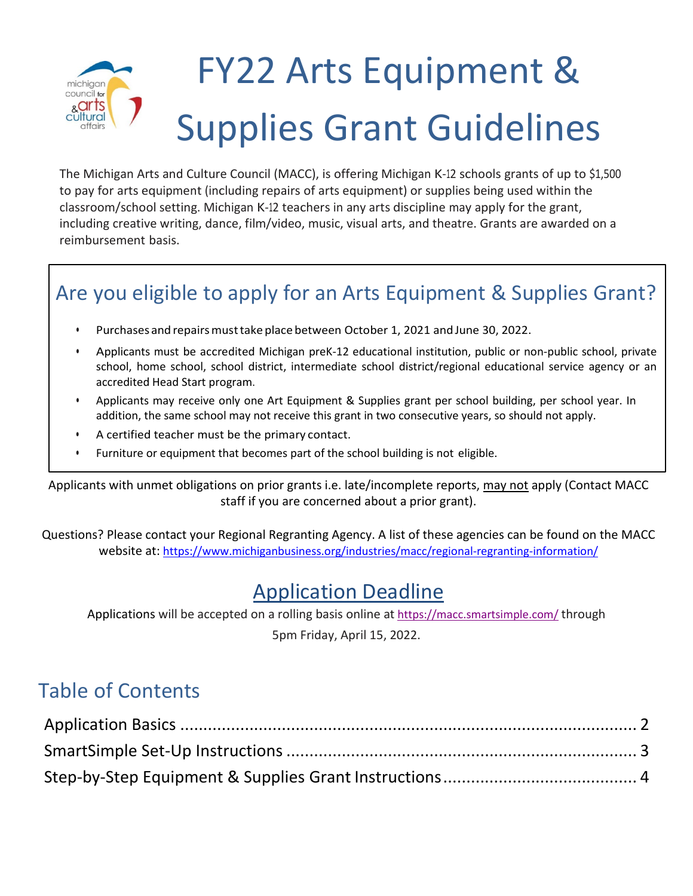#### FY22 Arts Equipment & michigan council for <sub>&</sub>arts Supplies Grant Guidelinescultural

The Michigan Arts and Culture Council (MACC), is offering Michigan K-12 schools grants of up to \$1,500 to pay for arts equipment (including repairs of arts equipment) or supplies being used within the classroom/school setting. Michigan K-12 teachers in any arts discipline may apply for the grant, including creative writing, dance, film/video, music, visual arts, and theatre. Grants are awarded on a reimbursement basis.

# Are you eligible to apply for an Arts Equipment & Supplies Grant?

- Purchases and repairs must take place between October 1, 2021 and June 30, 2022.
- Applicants must be accredited Michigan preK-12 educational institution, public or non-public school, private school, home school, school district, intermediate school district/regional educational service agency or an accredited Head Start program.
- Applicants may receive only one Art Equipment & Supplies grant per school building, per school year. In addition, the same school may not receive this grant in two consecutive years, so should not apply.
- A certified teacher must be the primary contact.
- Furniture or equipment that becomes part of the school building is not eligible.

Applicants with unmet obligations on prior grants i.e. late/incomplete reports, may not apply (Contact MACC staff if you are concerned about a prior grant).

Questions? Please contact your Regional Regranting Agency. A list of these agencies can be found on the MACC website at:<https://www.michiganbusiness.org/industries/macc/regional-regranting-information/>

## Application Deadline

Applications will be accepted on a rolling basis online at <https://macc.smartsimple.com/> through 5pm Friday, April 15, 2022.

## Table of Contents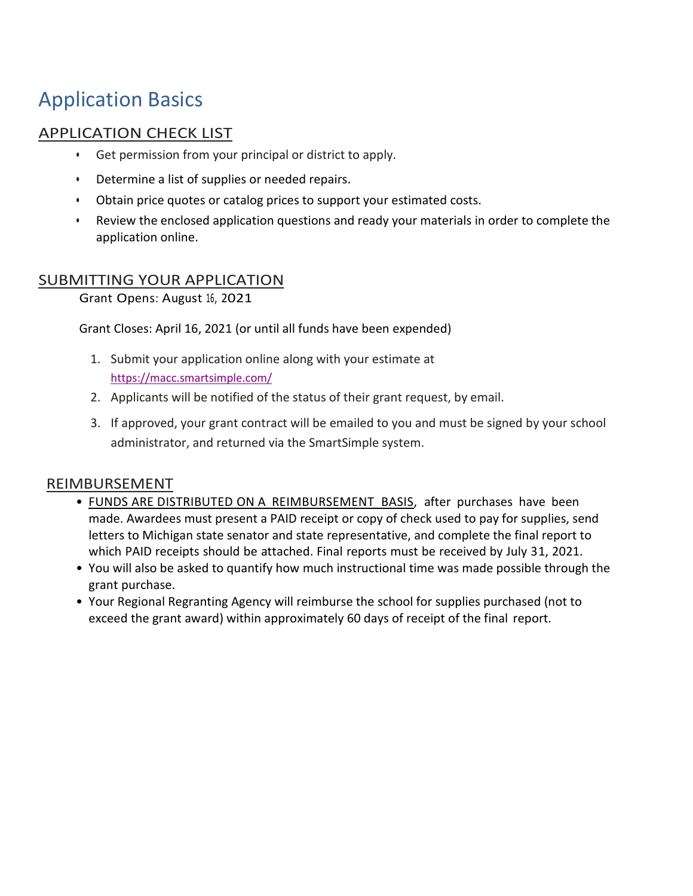## Application Basics

### APPLICATION CHECK LIST

- Get permission from your principal or district to apply.
- Determine a list of supplies or needed repairs.
- Obtain price quotes or catalog prices to support your estimated costs.
- Review the enclosed application questions and ready your materials in order to complete the application online.

### SUBMITTING YOUR APPLICATION

Grant Opens: August 16, 2021

Grant Closes: April 16, 2021 (or until all funds have been expended)

- 1. Submit your application online along with your estimate at <https://macc.smartsimple.com/>
- 2. Applicants will be notified of the status of their grant request, by email.
- 3. If approved, your grant contract will be emailed to you and must be signed by your school administrator, and returned via the SmartSimple system.

#### REIMBURSEMENT

- **FUNDS ARE DISTRIBUTED ON A REIMBURSEMENT BASIS**, after purchases have been made. Awardees must present a PAID receipt or copy of check used to pay for supplies, send letters to Michigan state senator and state representative, and complete the final report to which PAID receipts should be attached. Final reports must be received by July 31, 2021.
- You will also be asked to quantify how much instructional time was made possible through the grant purchase.
- Your Regional Regranting Agency will reimburse the school for supplies purchased (not to exceed the grant award) within approximately 60 days of receipt of the final report.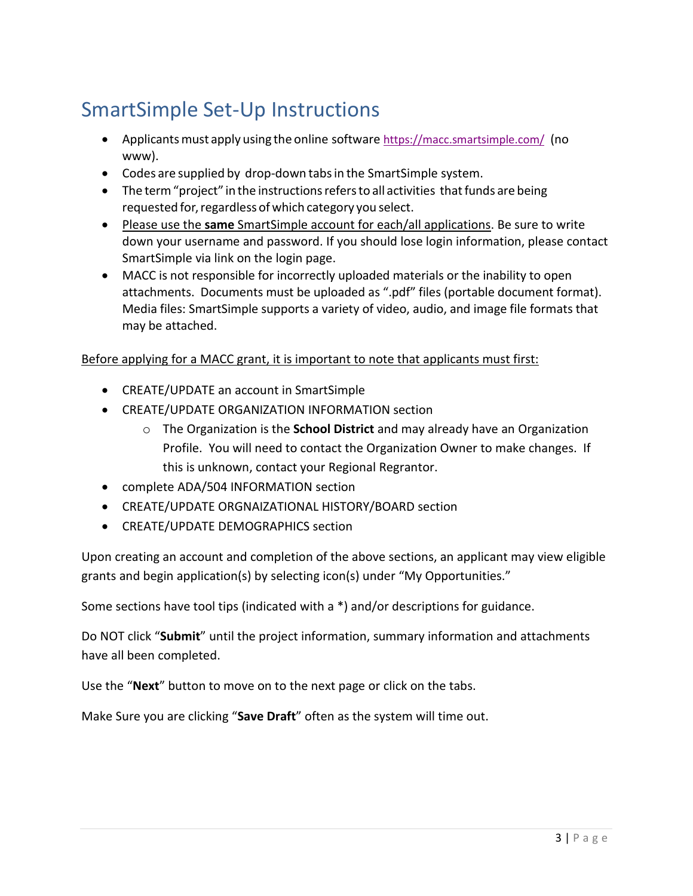# SmartSimple Set-Up Instructions

- Applicants must apply using the online software<https://macc.smartsimple.com/> (no www).
- Codes are supplied by drop-down tabsin the SmartSimple system.
- The term "project" in the instructions refers to all activities that funds are being requested for, regardless of which category you select.
- Please use the **same** SmartSimple account for each/all applications. Be sure to write down your username and password. If you should lose login information, please contact SmartSimple via link on the login page.
- MACC is not responsible for incorrectly uploaded materials or the inability to open attachments. Documents must be uploaded as ".pdf" files (portable document format). Media files: SmartSimple supports a variety of video, audio, and image file formats that may be attached.

#### Before applying for a MACC grant, it is important to note that applicants must first:

- CREATE/UPDATE an account in SmartSimple
- CREATE/UPDATE ORGANIZATION INFORMATION section
	- o The Organization is the **School District** and may already have an Organization Profile. You will need to contact the Organization Owner to make changes. If this is unknown, contact your Regional Regrantor.
- complete ADA/504 INFORMATION section
- CREATE/UPDATE ORGNAIZATIONAL HISTORY/BOARD section
- CREATE/UPDATE DEMOGRAPHICS section

Upon creating an account and completion of the above sections, an applicant may view eligible grants and begin application(s) by selecting icon(s) under "My Opportunities."

Some sections have tool tips (indicated with a \*) and/or descriptions for guidance.

Do NOT click "**Submit**" until the project information, summary information and attachments have all been completed.

Use the "**Next**" button to move on to the next page or click on the tabs.

Make Sure you are clicking "**Save Draft**" often as the system will time out.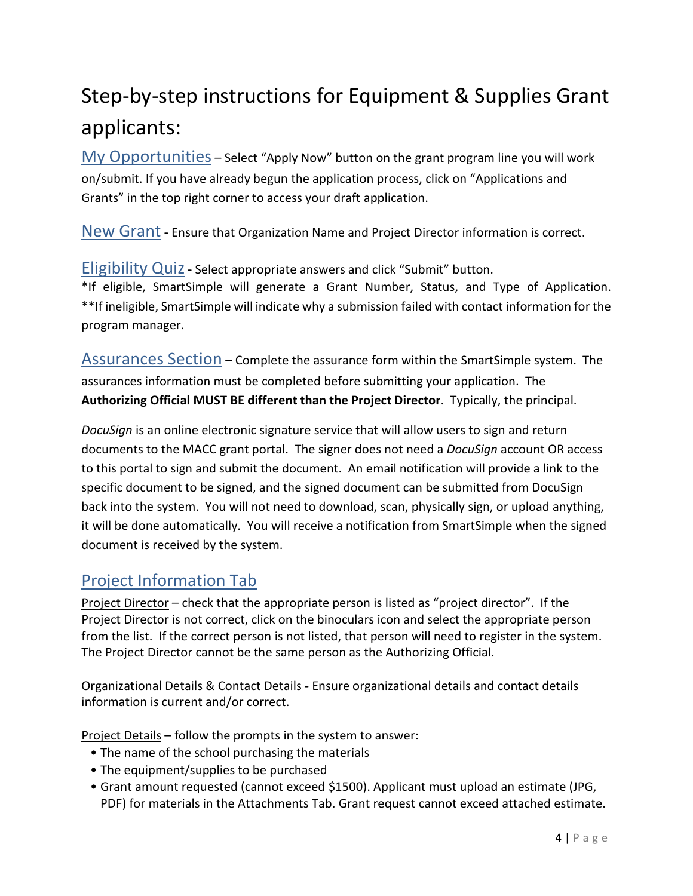# Step-by-step instructions for Equipment & Supplies Grant applicants:

My Opportunities – Select "Apply Now" button on the grant program line you will work on/submit. If you have already begun the application process, click on "Applications and Grants" in the top right corner to access your draft application.

New Grant **-** Ensure that Organization Name and Project Director information is correct.

Eligibility Quiz**-** Select appropriate answers and click "Submit" button. \*If eligible, SmartSimple will generate a Grant Number, Status, and Type of Application. \*\*If ineligible, SmartSimple will indicate why a submission failed with contact information for the program manager.

Assurances Section – Complete the assurance form within the SmartSimple system. The assurances information must be completed before submitting your application. The **Authorizing Official MUST BE different than the Project Director**. Typically, the principal.

*DocuSign* is an online electronic signature service that will allow users to sign and return documents to the MACC grant portal. The signer does not need a *DocuSign* account OR access to this portal to sign and submit the document. An email notification will provide a link to the specific document to be signed, and the signed document can be submitted from DocuSign back into the system. You will not need to download, scan, physically sign, or upload anything, it will be done automatically. You will receive a notification from SmartSimple when the signed document is received by the system.

## Project Information Tab

Project Director – check that the appropriate person is listed as "project director". If the Project Director is not correct, click on the binoculars icon and select the appropriate person from the list. If the correct person is not listed, that person will need to register in the system. The Project Director cannot be the same person as the Authorizing Official.

Organizational Details & Contact Details **-** Ensure organizational details and contact details information is current and/or correct.

Project Details – follow the prompts in the system to answer:

- The name of the school purchasing the materials
- The equipment/supplies to be purchased
- Grant amount requested (cannot exceed \$1500). Applicant must upload an estimate (JPG, PDF) for materials in the Attachments Tab. Grant request cannot exceed attached estimate.